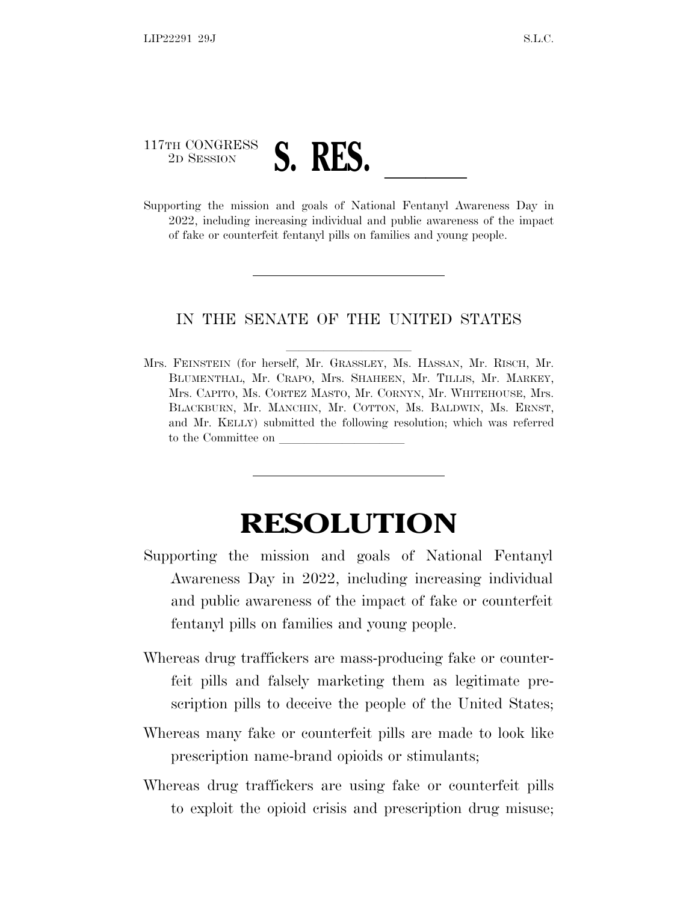## 117TH CONGRESS <sup>117TH CONGRESS</sup><br>
<sup>2D SESSION</sup><br>
Supporting the mission and goals of National Fentanyl Awareness Day in

2022, including increasing individual and public awareness of the impact of fake or counterfeit fentanyl pills on families and young people.

## IN THE SENATE OF THE UNITED STATES

Mrs. FEINSTEIN (for herself, Mr. GRASSLEY, Ms. HASSAN, Mr. RISCH, Mr. BLUMENTHAL, Mr. CRAPO, Mrs. SHAHEEN, Mr. TILLIS, Mr. MARKEY, Mrs. CAPITO, Ms. CORTEZ MASTO, Mr. CORNYN, Mr. WHITEHOUSE, Mrs. BLACKBURN, Mr. MANCHIN, Mr. COTTON, Ms. BALDWIN, Ms. ERNST, and Mr. KELLY) submitted the following resolution; which was referred to the Committee on

## **RESOLUTION**

- Supporting the mission and goals of National Fentanyl Awareness Day in 2022, including increasing individual and public awareness of the impact of fake or counterfeit fentanyl pills on families and young people.
- Whereas drug traffickers are mass-producing fake or counterfeit pills and falsely marketing them as legitimate prescription pills to deceive the people of the United States;
- Whereas many fake or counterfeit pills are made to look like prescription name-brand opioids or stimulants;
- Whereas drug traffickers are using fake or counterfeit pills to exploit the opioid crisis and prescription drug misuse;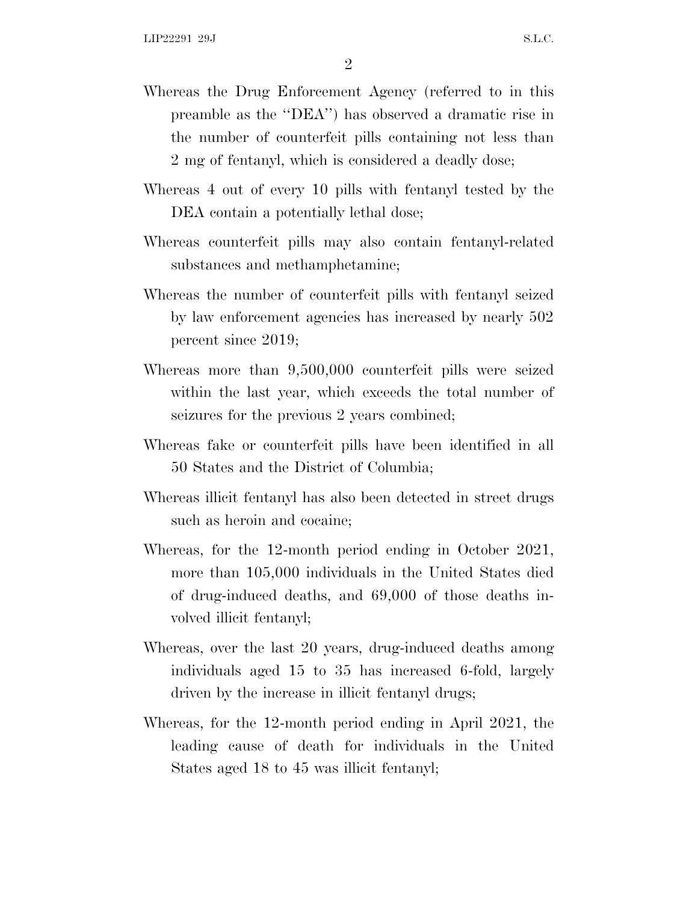- Whereas the Drug Enforcement Agency (referred to in this preamble as the ''DEA'') has observed a dramatic rise in the number of counterfeit pills containing not less than 2 mg of fentanyl, which is considered a deadly dose;
- Whereas 4 out of every 10 pills with fentanyl tested by the DEA contain a potentially lethal dose;
- Whereas counterfeit pills may also contain fentanyl-related substances and methamphetamine;
- Whereas the number of counterfeit pills with fentanyl seized by law enforcement agencies has increased by nearly 502 percent since 2019;
- Whereas more than 9,500,000 counterfeit pills were seized within the last year, which exceeds the total number of seizures for the previous 2 years combined;
- Whereas fake or counterfeit pills have been identified in all 50 States and the District of Columbia;
- Whereas illicit fentanyl has also been detected in street drugs such as heroin and cocaine;
- Whereas, for the 12-month period ending in October 2021, more than 105,000 individuals in the United States died of drug-induced deaths, and 69,000 of those deaths involved illicit fentanyl;
- Whereas, over the last 20 years, drug-induced deaths among individuals aged 15 to 35 has increased 6-fold, largely driven by the increase in illicit fentanyl drugs;
- Whereas, for the 12-month period ending in April 2021, the leading cause of death for individuals in the United States aged 18 to 45 was illicit fentanyl;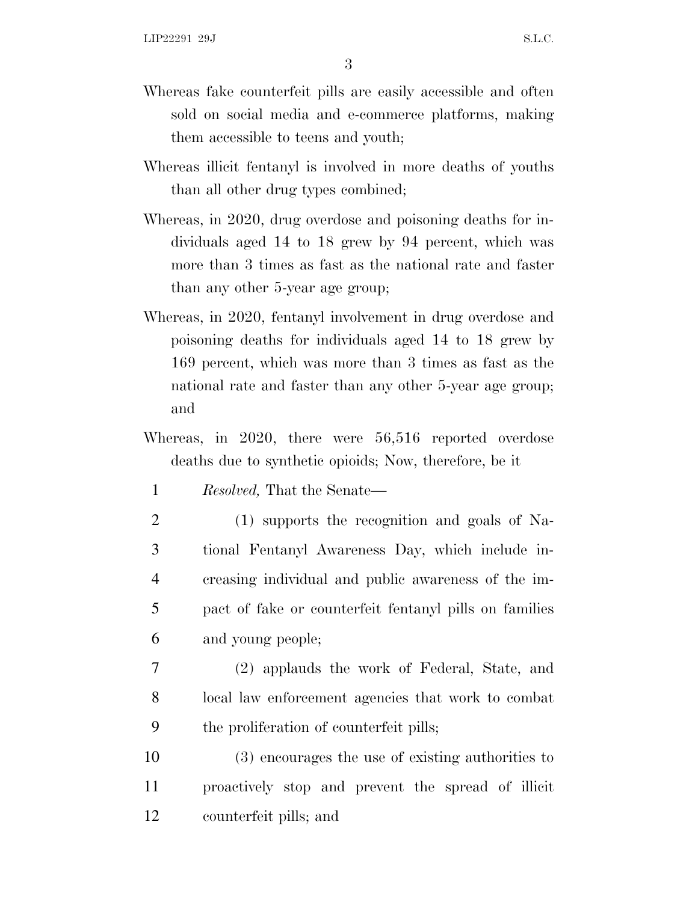3

- Whereas fake counterfeit pills are easily accessible and often sold on social media and e-commerce platforms, making them accessible to teens and youth;
- Whereas illicit fentanyl is involved in more deaths of youths than all other drug types combined;
- Whereas, in 2020, drug overdose and poisoning deaths for individuals aged 14 to 18 grew by 94 percent, which was more than 3 times as fast as the national rate and faster than any other 5-year age group;
- Whereas, in 2020, fentanyl involvement in drug overdose and poisoning deaths for individuals aged 14 to 18 grew by 169 percent, which was more than 3 times as fast as the national rate and faster than any other 5-year age group; and
- Whereas, in 2020, there were 56,516 reported overdose deaths due to synthetic opioids; Now, therefore, be it
	- 1 *Resolved,* That the Senate—
- 2 (1) supports the recognition and goals of Na-3 tional Fentanyl Awareness Day, which include in-4 creasing individual and public awareness of the im-5 pact of fake or counterfeit fentanyl pills on families 6 and young people;
- 7 (2) applauds the work of Federal, State, and 8 local law enforcement agencies that work to combat 9 the proliferation of counterfeit pills;
- 10 (3) encourages the use of existing authorities to 11 proactively stop and prevent the spread of illicit 12 counterfeit pills; and